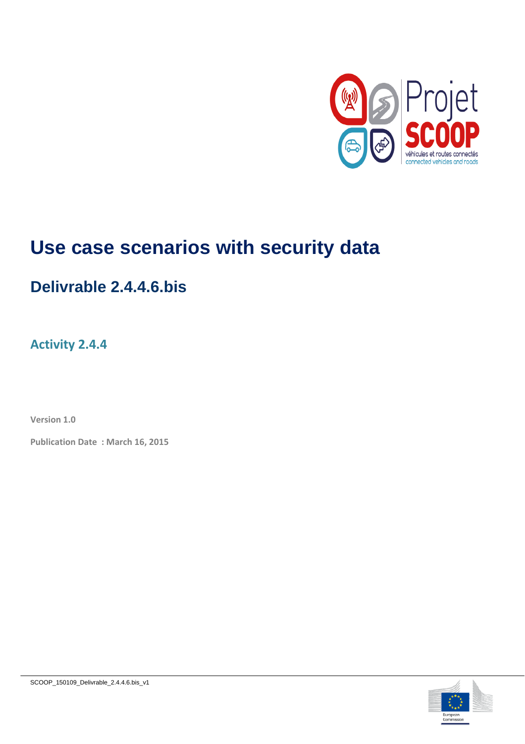

# **Use case scenarios with security data**

# **Delivrable 2.4.4.6.bis**

### **Activity 2.4.4**

**Version 1.0**

**Publication Date : March 16, 2015**

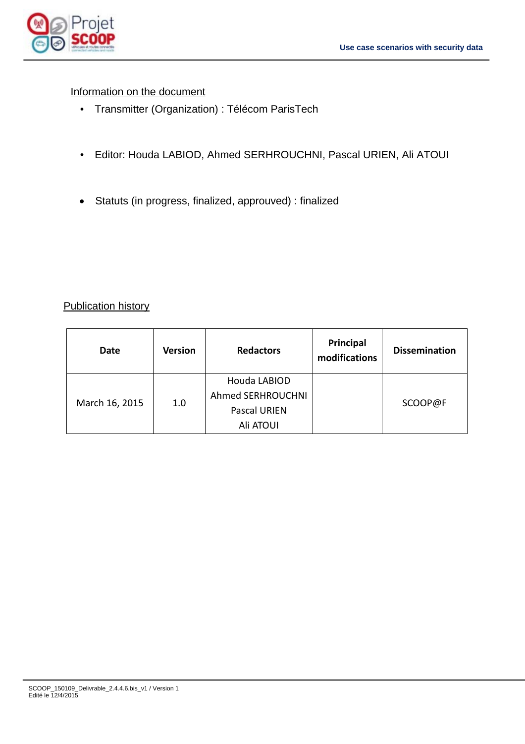

#### Information on the document

- Transmitter (Organization) : Télécom ParisTech
- Editor: Houda LABIOD, Ahmed SERHROUCHNI, Pascal URIEN, Ali ATOUI
- Statuts (in progress, finalized, approuved) : finalized

#### Publication history

| Date           | <b>Version</b> | <b>Redactors</b>         | Principal<br>modifications | <b>Dissemination</b> |
|----------------|----------------|--------------------------|----------------------------|----------------------|
| March 16, 2015 | 1.0            | Houda LABIOD             |                            |                      |
|                |                | <b>Ahmed SERHROUCHNI</b> |                            |                      |
|                |                | Pascal URIEN             |                            | SCOOP@F              |
|                |                | Ali ATOUI                |                            |                      |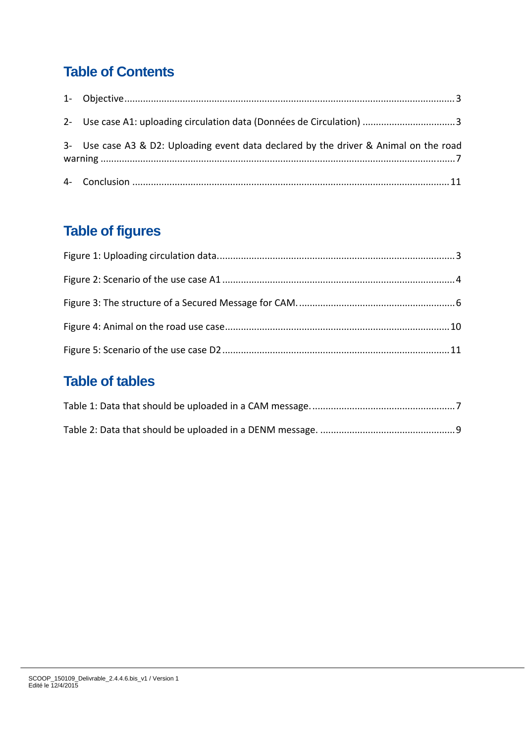## **Table of Contents**

| 3- Use case A3 & D2: Uploading event data declared by the driver & Animal on the road |
|---------------------------------------------------------------------------------------|
|                                                                                       |

# **Table of figures**

### **Table of tables**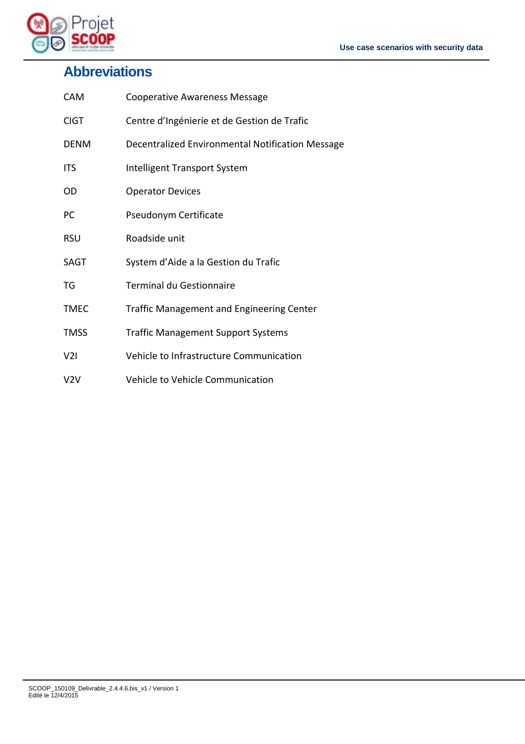

# **Abbreviations**

| <b>CAM</b>  | <b>Cooperative Awareness Message</b>             |
|-------------|--------------------------------------------------|
| <b>CIGT</b> | Centre d'Ingénierie et de Gestion de Trafic      |
| <b>DENM</b> | Decentralized Environmental Notification Message |
| <b>ITS</b>  | Intelligent Transport System                     |
| OD          | <b>Operator Devices</b>                          |
| PC          | Pseudonym Certificate                            |
| <b>RSU</b>  | Roadside unit                                    |
| SAGT        | System d'Aide a la Gestion du Trafic             |
| TG          | <b>Terminal du Gestionnaire</b>                  |
| <b>TMEC</b> | <b>Traffic Management and Engineering Center</b> |
| <b>TMSS</b> | <b>Traffic Management Support Systems</b>        |
| V2I         | Vehicle to Infrastructure Communication          |
| V2V         | Vehicle to Vehicle Communication                 |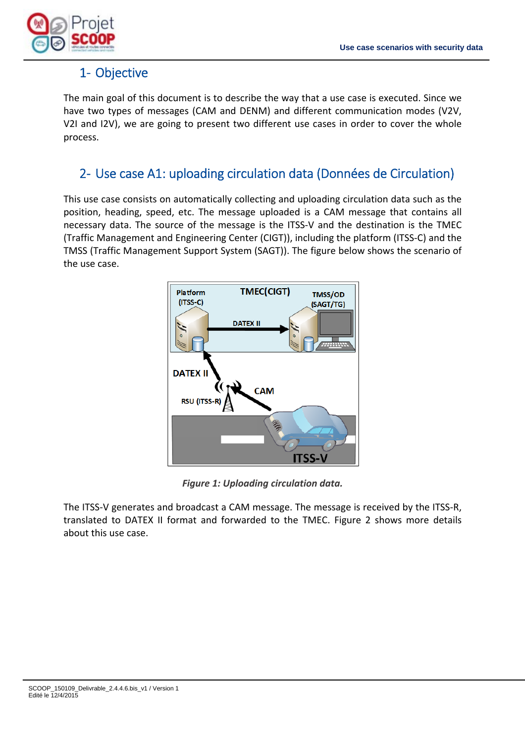

### 1‐ Objective

The main goal of this document is to describe the way that a use case is executed. Since we have two types of messages (CAM and DENM) and different communication modes (V2V, V2I and I2V), we are going to present two different use cases in order to cover the whole process.

#### 2‐ Use case A1: uploading circulation data (Données de Circulation)

This use case consists on automatically collecting and uploading circulation data such as the position, heading, speed, etc. The message uploaded is a CAM message that contains all necessary data. The source of the message is the ITSS‐V and the destination is the TMEC (Traffic Management and Engineering Center (CIGT)), including the platform (ITSS‐C) and the TMSS (Traffic Management Support System (SAGT)). The figure below shows the scenario of the use case.



*Figure 1: Uploading circulation data.*

The ITSS‐V generates and broadcast a CAM message. The message is received by the ITSS‐R, translated to DATEX II format and forwarded to the TMEC. Figure 2 shows more details about this use case.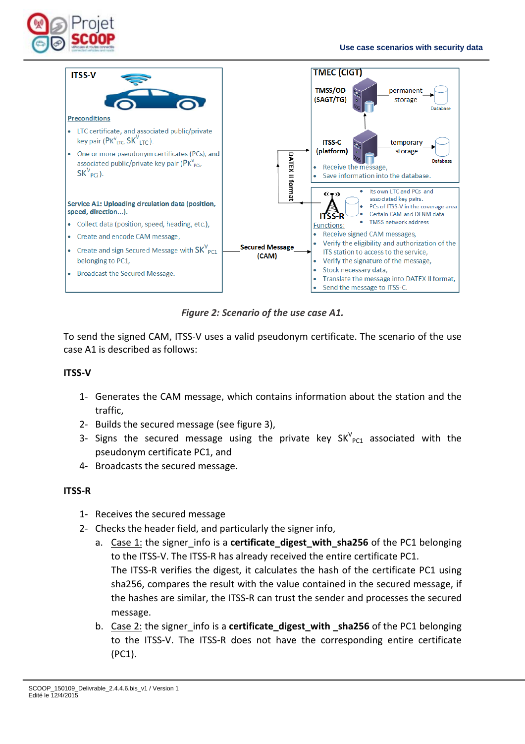



*Figure 2: Scenario of the use case A1.*

To send the signed CAM, ITSS‐V uses a valid pseudonym certificate. The scenario of the use case A1 is described as follows:

#### **ITSS‐V**

- 1‐ Generates the CAM message, which contains information about the station and the traffic,
- 2‐ Builds the secured message (see figure 3),
- 3- Signs the secured message using the private key  $SK_{PC1}^V$  associated with the pseudonym certificate PC1, and
- 4‐ Broadcasts the secured message.

#### **ITSS‐R**

- 1‐ Receives the secured message
- 2‐ Checks the header field, and particularly the signer info,
	- a. Case 1: the signer\_info is a **certificate\_digest\_with\_sha256** of the PC1 belonging to the ITSS‐V. The ITSS‐R has already received the entire certificate PC1. The ITSS‐R verifies the digest, it calculates the hash of the certificate PC1 using sha256, compares the result with the value contained in the secured message, if the hashes are similar, the ITSS‐R can trust the sender and processes the secured message.
	- b. Case 2: the signer info is a **certificate digest with sha256** of the PC1 belonging to the ITSS‐V. The ITSS‐R does not have the corresponding entire certificate (PC1).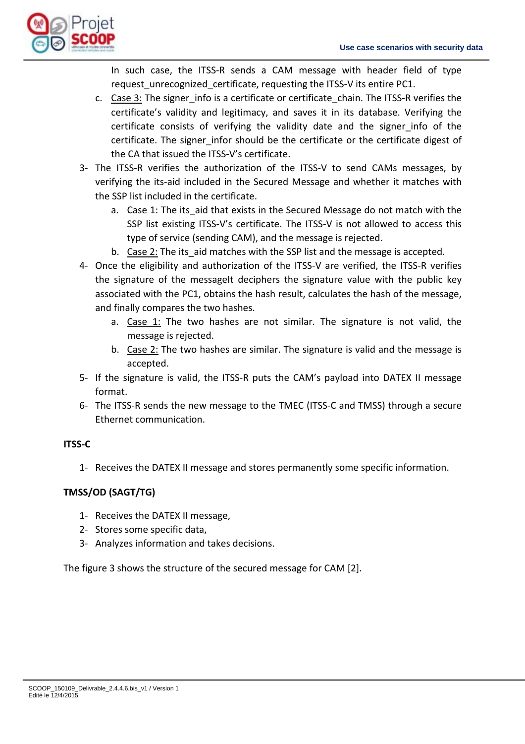

In such case, the ITSS‐R sends a CAM message with header field of type request unrecognized certificate, requesting the ITSS-V its entire PC1.

- c. Case 3: The signer info is a certificate or certificate chain. The ITSS-R verifies the certificate's validity and legitimacy, and saves it in its database. Verifying the certificate consists of verifying the validity date and the signer info of the certificate. The signer infor should be the certificate or the certificate digest of the CA that issued the ITSS‐V's certificate.
- 3- The ITSS-R verifies the authorization of the ITSS-V to send CAMs messages, by verifying the its‐aid included in the Secured Message and whether it matches with the SSP list included in the certificate.
	- a. Case 1: The its aid that exists in the Secured Message do not match with the SSP list existing ITSS-V's certificate. The ITSS-V is not allowed to access this type of service (sending CAM), and the message is rejected.
	- b. Case 2: The its aid matches with the SSP list and the message is accepted.
- 4‐ Once the eligibility and authorization of the ITSS‐V are verified, the ITSS‐R verifies the signature of the messageIt deciphers the signature value with the public key associated with the PC1, obtains the hash result, calculates the hash of the message, and finally compares the two hashes.
	- a. Case 1: The two hashes are not similar. The signature is not valid, the message is rejected.
	- b. Case 2: The two hashes are similar. The signature is valid and the message is accepted.
- 5- If the signature is valid, the ITSS-R puts the CAM's payload into DATEX II message format.
- 6‐ The ITSS‐R sends the new message to the TMEC (ITSS‐C and TMSS) through a secure Ethernet communication.

#### **ITSS‐C**

1‐ Receives the DATEX II message and stores permanently some specific information.

#### **TMSS/OD (SAGT/TG)**

- 1‐ Receives the DATEX II message,
- 2‐ Stores some specific data,
- 3‐ Analyzes information and takes decisions.

The figure 3 shows the structure of the secured message for CAM [2].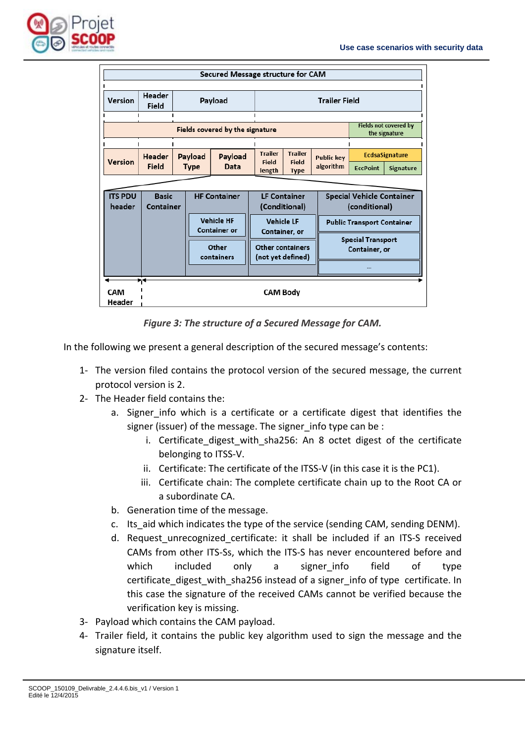

| Secured Message structure for CAM                    |                                          |                                                  |                                    |                                      |                                       |                                                   |                       |                                           |           |
|------------------------------------------------------|------------------------------------------|--------------------------------------------------|------------------------------------|--------------------------------------|---------------------------------------|---------------------------------------------------|-----------------------|-------------------------------------------|-----------|
| Header<br><b>Trailer Field</b><br>Version<br>Payload |                                          |                                                  |                                    |                                      |                                       |                                                   |                       |                                           |           |
|                                                      | Field                                    |                                                  |                                    |                                      |                                       |                                                   |                       |                                           |           |
|                                                      | Fields covered by the signature          |                                                  |                                    |                                      |                                       | Fields not covered by<br>the signature            |                       |                                           |           |
|                                                      | <b>Header</b>                            | Payload<br>Payload                               |                                    | <b>Trailer</b>                       | <b>Trailer</b>                        | <b>Public key</b>                                 | <b>EcdsaSignature</b> |                                           |           |
| Version                                              | Field                                    | <b>Type</b>                                      |                                    | Data                                 | Field<br>length                       | Field<br><b>Type</b>                              | algorithm             | <b>EccPoint</b>                           | Signature |
|                                                      |                                          |                                                  |                                    |                                      |                                       |                                                   |                       |                                           |           |
| <b>ITS PDU</b><br>header                             |                                          | <b>HF Container</b><br><b>Basic</b><br>Container |                                    | <b>LF Container</b><br>(Conditional) |                                       | <b>Special Vehicle Container</b><br>(conditional) |                       |                                           |           |
|                                                      | <b>Vehicle HF</b><br><b>Container or</b> |                                                  | <b>Vehicle LF</b><br>Container, or |                                      |                                       | <b>Public Transport Container</b>                 |                       |                                           |           |
|                                                      |                                          |                                                  | Other<br>containers                |                                      | Other containers<br>(not yet defined) |                                                   |                       | <b>Special Transport</b><br>Container, or |           |
|                                                      |                                          |                                                  |                                    |                                      |                                       |                                                   |                       |                                           |           |
| <b>CAM</b><br>Header                                 | ►4<br><b>CAM Body</b>                    |                                                  |                                    |                                      |                                       |                                                   |                       |                                           |           |

*Figure 3: The structure of a Secured Message for CAM.*

In the following we present a general description of the secured message's contents:

- 1‐ The version filed contains the protocol version of the secured message, the current protocol version is 2.
- 2‐ The Header field contains the:
	- a. Signer info which is a certificate or a certificate digest that identifies the signer (issuer) of the message. The signer info type can be :
		- i. Certificate digest with sha256: An 8 octet digest of the certificate belonging to ITSS‐V.
		- ii. Certificate: The certificate of the ITSS‐V (in this case it is the PC1).
		- iii. Certificate chain: The complete certificate chain up to the Root CA or a subordinate CA.
	- b. Generation time of the message.
	- c. Its aid which indicates the type of the service (sending CAM, sending DENM).
	- d. Request unrecognized certificate: it shall be included if an ITS-S received CAMs from other ITS‐Ss, which the ITS‐S has never encountered before and which included only a signer\_info field of type certificate digest with sha256 instead of a signer info of type certificate. In this case the signature of the received CAMs cannot be verified because the verification key is missing.
- 3‐ Payload which contains the CAM payload.
- 4‐ Trailer field, it contains the public key algorithm used to sign the message and the signature itself.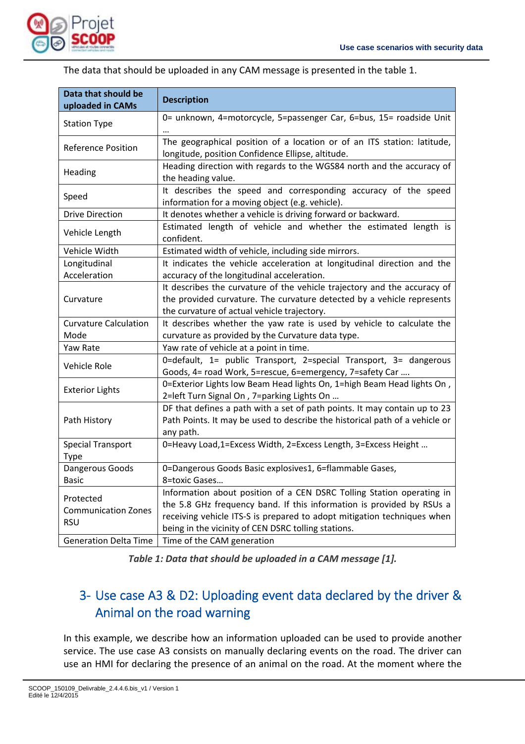

| Data that should be<br>uploaded in CAMs               | <b>Description</b>                                                                                                                                                                                                                                                               |  |  |
|-------------------------------------------------------|----------------------------------------------------------------------------------------------------------------------------------------------------------------------------------------------------------------------------------------------------------------------------------|--|--|
| <b>Station Type</b>                                   | 0= unknown, 4=motorcycle, 5=passenger Car, 6=bus, 15= roadside Unit                                                                                                                                                                                                              |  |  |
| <b>Reference Position</b>                             | The geographical position of a location or of an ITS station: latitude,<br>longitude, position Confidence Ellipse, altitude.                                                                                                                                                     |  |  |
| Heading                                               | Heading direction with regards to the WGS84 north and the accuracy of<br>the heading value.                                                                                                                                                                                      |  |  |
| Speed                                                 | It describes the speed and corresponding accuracy of the speed<br>information for a moving object (e.g. vehicle).                                                                                                                                                                |  |  |
| <b>Drive Direction</b>                                | It denotes whether a vehicle is driving forward or backward.                                                                                                                                                                                                                     |  |  |
| Vehicle Length                                        | Estimated length of vehicle and whether the estimated length is<br>confident.                                                                                                                                                                                                    |  |  |
| Vehicle Width                                         | Estimated width of vehicle, including side mirrors.                                                                                                                                                                                                                              |  |  |
| Longitudinal                                          | It indicates the vehicle acceleration at longitudinal direction and the                                                                                                                                                                                                          |  |  |
| Acceleration                                          | accuracy of the longitudinal acceleration.                                                                                                                                                                                                                                       |  |  |
| Curvature                                             | It describes the curvature of the vehicle trajectory and the accuracy of<br>the provided curvature. The curvature detected by a vehicle represents<br>the curvature of actual vehicle trajectory.                                                                                |  |  |
| <b>Curvature Calculation</b>                          | It describes whether the yaw rate is used by vehicle to calculate the                                                                                                                                                                                                            |  |  |
| Mode                                                  | curvature as provided by the Curvature data type.                                                                                                                                                                                                                                |  |  |
| Yaw Rate                                              | Yaw rate of vehicle at a point in time.                                                                                                                                                                                                                                          |  |  |
| Vehicle Role                                          | 0=default, 1= public Transport, 2=special Transport, 3= dangerous<br>Goods, 4= road Work, 5=rescue, 6=emergency, 7=safety Car                                                                                                                                                    |  |  |
| <b>Exterior Lights</b>                                | 0=Exterior Lights low Beam Head lights On, 1=high Beam Head lights On,<br>2=left Turn Signal On, 7=parking Lights On                                                                                                                                                             |  |  |
| Path History                                          | DF that defines a path with a set of path points. It may contain up to 23<br>Path Points. It may be used to describe the historical path of a vehicle or<br>any path.                                                                                                            |  |  |
| <b>Special Transport</b><br>Type                      | 0=Heavy Load,1=Excess Width, 2=Excess Length, 3=Excess Height                                                                                                                                                                                                                    |  |  |
| Dangerous Goods                                       | 0=Dangerous Goods Basic explosives1, 6=flammable Gases,                                                                                                                                                                                                                          |  |  |
| <b>Basic</b>                                          | 8=toxic Gases                                                                                                                                                                                                                                                                    |  |  |
| Protected<br><b>Communication Zones</b><br><b>RSU</b> | Information about position of a CEN DSRC Tolling Station operating in<br>the 5.8 GHz frequency band. If this information is provided by RSUs a<br>receiving vehicle ITS-S is prepared to adopt mitigation techniques when<br>being in the vicinity of CEN DSRC tolling stations. |  |  |
| <b>Generation Delta Time</b>                          | Time of the CAM generation                                                                                                                                                                                                                                                       |  |  |

The data that should be uploaded in any CAM message is presented in the table 1.

*Table 1: Data that should be uploaded in a CAM message [1].*

### 3‐ Use case A3 & D2: Uploading event data declared by the driver & Animal on the road warning

In this example, we describe how an information uploaded can be used to provide another service. The use case A3 consists on manually declaring events on the road. The driver can use an HMI for declaring the presence of an animal on the road. At the moment where the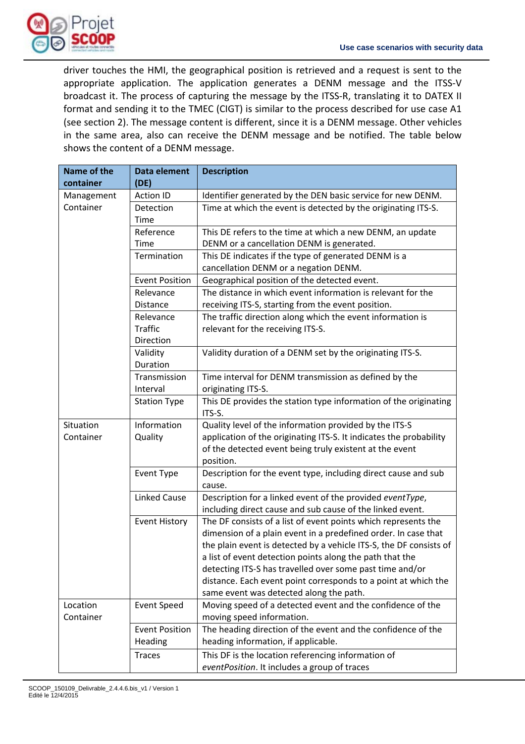

driver touches the HMI, the geographical position is retrieved and a request is sent to the appropriate application. The application generates a DENM message and the ITSS-V broadcast it. The process of capturing the message by the ITSS‐R, translating it to DATEX II format and sending it to the TMEC (CIGT) is similar to the process described for use case A1 (see section 2). The message content is different, since it is a DENM message. Other vehicles in the same area, also can receive the DENM message and be notified. The table below shows the content of a DENM message.

| Name of the<br>container | Data element<br>(DE)  | <b>Description</b>                                                                                                         |
|--------------------------|-----------------------|----------------------------------------------------------------------------------------------------------------------------|
| Management               | <b>Action ID</b>      | Identifier generated by the DEN basic service for new DENM.                                                                |
| Container                | Detection<br>Time     | Time at which the event is detected by the originating ITS-S.                                                              |
|                          | Reference             | This DE refers to the time at which a new DENM, an update                                                                  |
|                          | Time                  | DENM or a cancellation DENM is generated.                                                                                  |
|                          | Termination           | This DE indicates if the type of generated DENM is a<br>cancellation DENM or a negation DENM.                              |
|                          | <b>Event Position</b> | Geographical position of the detected event.                                                                               |
|                          | Relevance<br>Distance | The distance in which event information is relevant for the<br>receiving ITS-S, starting from the event position.          |
|                          | Relevance             | The traffic direction along which the event information is                                                                 |
|                          | <b>Traffic</b>        | relevant for the receiving ITS-S.                                                                                          |
|                          | Direction             |                                                                                                                            |
|                          | Validity<br>Duration  | Validity duration of a DENM set by the originating ITS-S.                                                                  |
|                          | Transmission          | Time interval for DENM transmission as defined by the                                                                      |
|                          | Interval              | originating ITS-S.                                                                                                         |
|                          | <b>Station Type</b>   | This DE provides the station type information of the originating<br>ITS-S.                                                 |
| Situation                | Information           | Quality level of the information provided by the ITS-S                                                                     |
| Container                | Quality               | application of the originating ITS-S. It indicates the probability                                                         |
|                          |                       | of the detected event being truly existent at the event<br>position.                                                       |
|                          | Event Type            | Description for the event type, including direct cause and sub<br>cause.                                                   |
|                          | <b>Linked Cause</b>   | Description for a linked event of the provided eventType,                                                                  |
|                          |                       | including direct cause and sub cause of the linked event.                                                                  |
|                          | <b>Event History</b>  | The DF consists of a list of event points which represents the                                                             |
|                          |                       | dimension of a plain event in a predefined order. In case that                                                             |
|                          |                       | the plain event is detected by a vehicle ITS-S, the DF consists of                                                         |
|                          |                       | a list of event detection points along the path that the                                                                   |
|                          |                       | detecting ITS-S has travelled over some past time and/or<br>distance. Each event point corresponds to a point at which the |
|                          |                       | same event was detected along the path.                                                                                    |
| Location                 | <b>Event Speed</b>    | Moving speed of a detected event and the confidence of the                                                                 |
| Container                |                       | moving speed information.                                                                                                  |
|                          | <b>Event Position</b> | The heading direction of the event and the confidence of the                                                               |
|                          | Heading               | heading information, if applicable.                                                                                        |
|                          | <b>Traces</b>         | This DF is the location referencing information of                                                                         |
|                          |                       | eventPosition. It includes a group of traces                                                                               |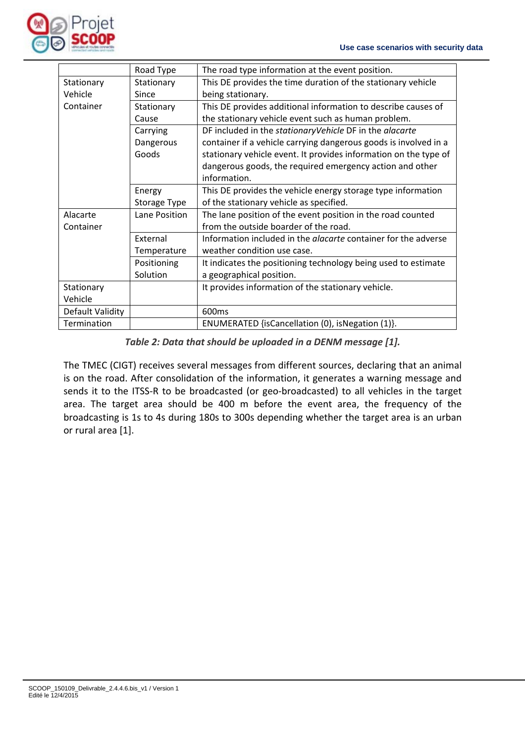

|                  | Road Type     | The road type information at the event position.                      |
|------------------|---------------|-----------------------------------------------------------------------|
| Stationary       | Stationary    | This DE provides the time duration of the stationary vehicle          |
| Vehicle          | Since         | being stationary.                                                     |
| Container        | Stationary    | This DE provides additional information to describe causes of         |
|                  | Cause         | the stationary vehicle event such as human problem.                   |
|                  | Carrying      | DF included in the stationaryVehicle DF in the alacarte               |
|                  | Dangerous     | container if a vehicle carrying dangerous goods is involved in a      |
|                  | Goods         | stationary vehicle event. It provides information on the type of      |
|                  |               | dangerous goods, the required emergency action and other              |
|                  |               | information.                                                          |
|                  | Energy        | This DE provides the vehicle energy storage type information          |
|                  | Storage Type  | of the stationary vehicle as specified.                               |
| Alacarte         | Lane Position | The lane position of the event position in the road counted           |
| Container        |               | from the outside boarder of the road.                                 |
|                  | External      | Information included in the <i>alacarte</i> container for the adverse |
|                  | Temperature   | weather condition use case.                                           |
|                  | Positioning   | It indicates the positioning technology being used to estimate        |
|                  | Solution      | a geographical position.                                              |
| Stationary       |               | It provides information of the stationary vehicle.                    |
| Vehicle          |               |                                                                       |
| Default Validity |               | 600 <sub>ms</sub>                                                     |
| Termination      |               | ENUMERATED {isCancellation (0), isNegation (1)}.                      |

*Table 2: Data that should be uploaded in a DENM message [1].*

The TMEC (CIGT) receives several messages from different sources, declaring that an animal is on the road. After consolidation of the information, it generates a warning message and sends it to the ITSS-R to be broadcasted (or geo-broadcasted) to all vehicles in the target area. The target area should be 400 m before the event area, the frequency of the broadcasting is 1s to 4s during 180s to 300s depending whether the target area is an urban or rural area [1].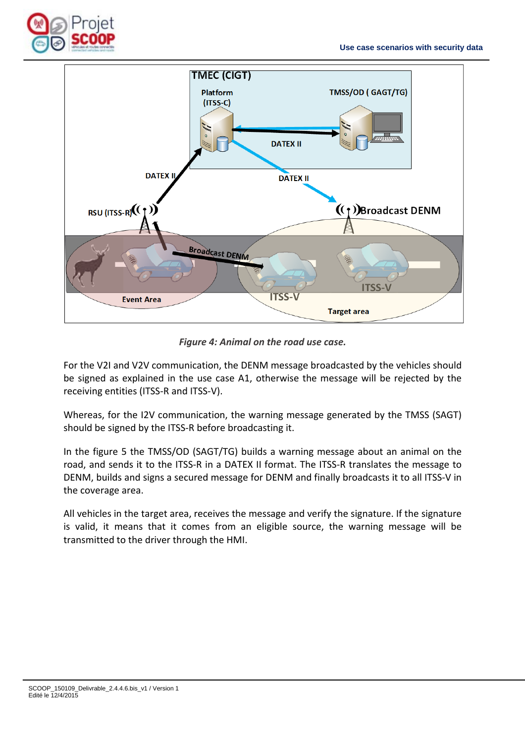



*Figure 4: Animal on the road use case.*

For the V2I and V2V communication, the DENM message broadcasted by the vehicles should be signed as explained in the use case A1, otherwise the message will be rejected by the receiving entities (ITSS‐R and ITSS‐V).

Whereas, for the I2V communication, the warning message generated by the TMSS (SAGT) should be signed by the ITSS‐R before broadcasting it.

In the figure 5 the TMSS/OD (SAGT/TG) builds a warning message about an animal on the road, and sends it to the ITSS‐R in a DATEX II format. The ITSS‐R translates the message to DENM, builds and signs a secured message for DENM and finally broadcasts it to all ITSS‐V in the coverage area.

All vehicles in the target area, receives the message and verify the signature. If the signature is valid, it means that it comes from an eligible source, the warning message will be transmitted to the driver through the HMI.